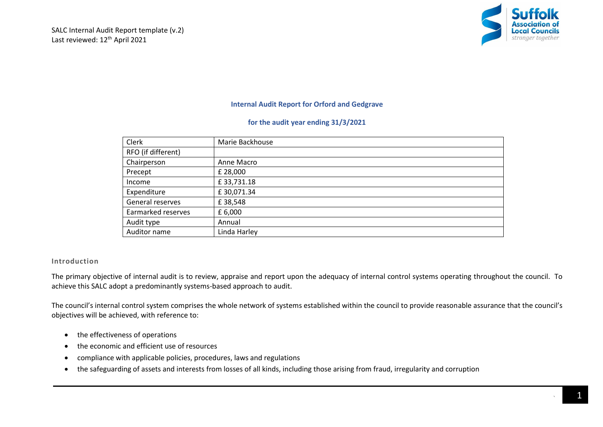

## **Internal Audit Report for Orford and Gedgrave**

#### **for the audit year ending 31/3/2021**

| Clerk              | Marie Backhouse |
|--------------------|-----------------|
| RFO (if different) |                 |
| Chairperson        | Anne Macro      |
| Precept            | £ 28,000        |
| Income             | £33,731.18      |
| Expenditure        | £30,071.34      |
| General reserves   | £38,548         |
| Earmarked reserves | £ 6,000         |
| Audit type         | Annual          |
| Auditor name       | Linda Harley    |

#### **Introduction**

The primary objective of internal audit is to review, appraise and report upon the adequacy of internal control systems operating throughout the council. To achieve this SALC adopt a predominantly systems-based approach to audit.

The council's internal control system comprises the whole network of systems established within the council to provide reasonable assurance that the council's objectives will be achieved, with reference to:

- the effectiveness of operations
- the economic and efficient use of resources
- compliance with applicable policies, procedures, laws and regulations
- the safeguarding of assets and interests from losses of all kinds, including those arising from fraud, irregularity and corruption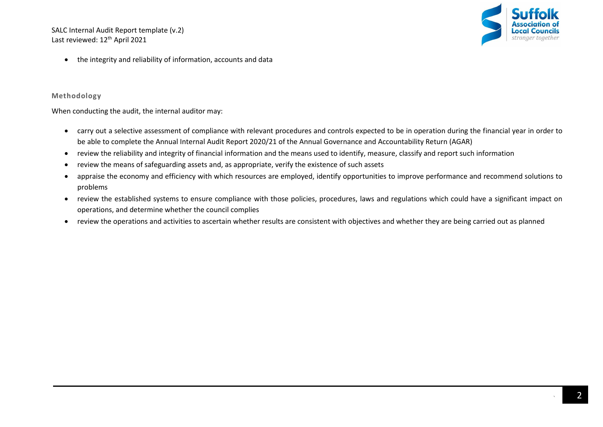SALC Internal Audit Report template (v.2) Last reviewed: 12<sup>th</sup> April 2021



• the integrity and reliability of information, accounts and data

## **Methodology**

When conducting the audit, the internal auditor may:

- carry out a selective assessment of compliance with relevant procedures and controls expected to be in operation during the financial year in order to be able to complete the Annual Internal Audit Report 2020/21 of the Annual Governance and Accountability Return (AGAR)
- review the reliability and integrity of financial information and the means used to identify, measure, classify and report such information
- review the means of safeguarding assets and, as appropriate, verify the existence of such assets
- appraise the economy and efficiency with which resources are employed, identify opportunities to improve performance and recommend solutions to problems
- review the established systems to ensure compliance with those policies, procedures, laws and regulations which could have a significant impact on operations, and determine whether the council complies
- review the operations and activities to ascertain whether results are consistent with objectives and whether they are being carried out as planned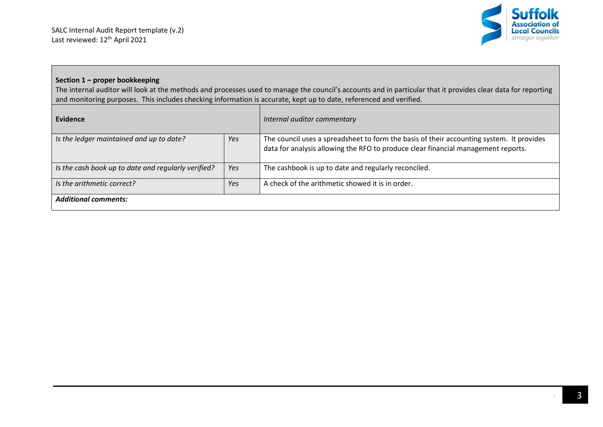

## **Section 1 – proper bookkeeping**

The internal auditor will look at the methods and processes used to manage the council's accounts and in particular that it provides clear data for reporting and monitoring purposes. This includes checking information is accurate, kept up to date, referenced and verified.

| Evidence                                            |     | Internal auditor commentary                                                                                                                                                   |
|-----------------------------------------------------|-----|-------------------------------------------------------------------------------------------------------------------------------------------------------------------------------|
| Yes<br>Is the ledger maintained and up to date?     |     | The council uses a spreadsheet to form the basis of their accounting system. It provides<br>data for analysis allowing the RFO to produce clear financial management reports. |
| Is the cash book up to date and regularly verified? | Yes | The cashbook is up to date and regularly reconciled.                                                                                                                          |
| Is the arithmetic correct?                          | Yes | A check of the arithmetic showed it is in order.                                                                                                                              |
| <b>Additional comments:</b>                         |     |                                                                                                                                                                               |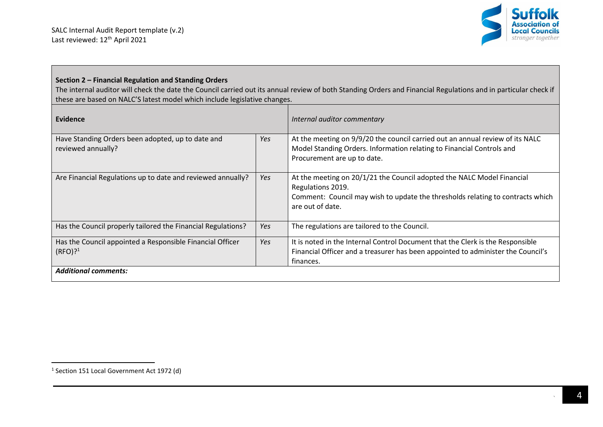

# **Section 2 – Financial Regulation and Standing Orders**

The internal auditor will check the date the Council carried out its annual review of both Standing Orders and Financial Regulations and in particular check if these are based on NALC'S latest model which include legislative changes.

| Evidence                                                                         |     | Internal auditor commentary                                                                                                                                                                       |
|----------------------------------------------------------------------------------|-----|---------------------------------------------------------------------------------------------------------------------------------------------------------------------------------------------------|
| Have Standing Orders been adopted, up to date and<br>reviewed annually?          | Yes | At the meeting on 9/9/20 the council carried out an annual review of its NALC<br>Model Standing Orders. Information relating to Financial Controls and<br>Procurement are up to date.             |
| Are Financial Regulations up to date and reviewed annually?                      | Yes | At the meeting on 20/1/21 the Council adopted the NALC Model Financial<br>Regulations 2019.<br>Comment: Council may wish to update the thresholds relating to contracts which<br>are out of date. |
| Has the Council properly tailored the Financial Regulations?                     | Yes | The regulations are tailored to the Council.                                                                                                                                                      |
| Has the Council appointed a Responsible Financial Officer<br>(RFO)? <sup>1</sup> | Yes | It is noted in the Internal Control Document that the Clerk is the Responsible<br>Financial Officer and a treasurer has been appointed to administer the Council's<br>finances.                   |
| <b>Additional comments:</b>                                                      |     |                                                                                                                                                                                                   |

<sup>&</sup>lt;sup>1</sup> Section 151 Local Government Act 1972 (d)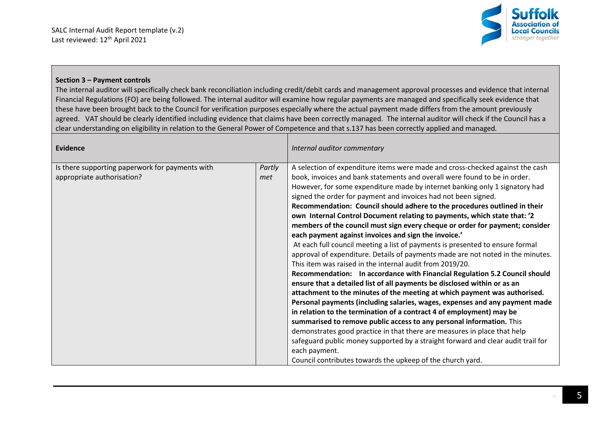

## **Section 3 – Payment controls**

The internal auditor will specifically check bank reconciliation including credit/debit cards and management approval processes and evidence that internal Financial Regulations (FO) are being followed. The internal auditor will examine how regular payments are managed and specifically seek evidence that these have been brought back to the Council for verification purposes especially where the actual payment made differs from the amount previously agreed. VAT should be clearly identified including evidence that claims have been correctly managed. The internal auditor will check if the Council has a clear understanding on eligibility in relation to the General Power of Competence and that s.137 has been correctly applied and managed*.*

| <b>Evidence</b>                                                                                |  | Internal auditor commentary                                                                                                                                                                                                                                                                                                                                                                                                                                                                                                                                                                                                                                                                                                                                                                                                                                                                                                                                                                                                                                                                                                                                                                                                                                                                                                                                                                                                                                                                                                                                       |
|------------------------------------------------------------------------------------------------|--|-------------------------------------------------------------------------------------------------------------------------------------------------------------------------------------------------------------------------------------------------------------------------------------------------------------------------------------------------------------------------------------------------------------------------------------------------------------------------------------------------------------------------------------------------------------------------------------------------------------------------------------------------------------------------------------------------------------------------------------------------------------------------------------------------------------------------------------------------------------------------------------------------------------------------------------------------------------------------------------------------------------------------------------------------------------------------------------------------------------------------------------------------------------------------------------------------------------------------------------------------------------------------------------------------------------------------------------------------------------------------------------------------------------------------------------------------------------------------------------------------------------------------------------------------------------------|
| Is there supporting paperwork for payments with<br>Partly<br>appropriate authorisation?<br>met |  | A selection of expenditure items were made and cross-checked against the cash<br>book, invoices and bank statements and overall were found to be in order.<br>However, for some expenditure made by internet banking only 1 signatory had<br>signed the order for payment and invoices had not been signed.<br>Recommendation: Council should adhere to the procedures outlined in their<br>own Internal Control Document relating to payments, which state that: '2<br>members of the council must sign every cheque or order for payment; consider<br>each payment against invoices and sign the invoice.'<br>At each full council meeting a list of payments is presented to ensure formal<br>approval of expenditure. Details of payments made are not noted in the minutes.<br>This item was raised in the internal audit from 2019/20.<br>Recommendation: In accordance with Financial Regulation 5.2 Council should<br>ensure that a detailed list of all payments be disclosed within or as an<br>attachment to the minutes of the meeting at which payment was authorised.<br>Personal payments (including salaries, wages, expenses and any payment made<br>in relation to the termination of a contract 4 of employment) may be<br>summarised to remove public access to any personal information. This<br>demonstrates good practice in that there are measures in place that help<br>safeguard public money supported by a straight forward and clear audit trail for<br>each payment.<br>Council contributes towards the upkeep of the church yard. |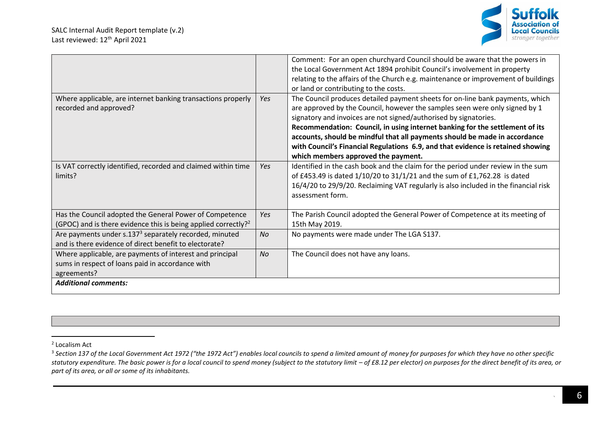

|                                                                                                                                       |           | Comment: For an open churchyard Council should be aware that the powers in<br>the Local Government Act 1894 prohibit Council's involvement in property<br>relating to the affairs of the Church e.g. maintenance or improvement of buildings<br>or land or contributing to the costs.                                                                                                                                                                                                                                    |
|---------------------------------------------------------------------------------------------------------------------------------------|-----------|--------------------------------------------------------------------------------------------------------------------------------------------------------------------------------------------------------------------------------------------------------------------------------------------------------------------------------------------------------------------------------------------------------------------------------------------------------------------------------------------------------------------------|
| Where applicable, are internet banking transactions properly<br>recorded and approved?                                                | Yes       | The Council produces detailed payment sheets for on-line bank payments, which<br>are approved by the Council, however the samples seen were only signed by 1<br>signatory and invoices are not signed/authorised by signatories.<br>Recommendation: Council, in using internet banking for the settlement of its<br>accounts, should be mindful that all payments should be made in accordance<br>with Council's Financial Regulations 6.9, and that evidence is retained showing<br>which members approved the payment. |
| Is VAT correctly identified, recorded and claimed within time<br>limits?                                                              | Yes       | Identified in the cash book and the claim for the period under review in the sum<br>of £453.49 is dated 1/10/20 to 31/1/21 and the sum of £1,762.28 is dated<br>16/4/20 to 29/9/20. Reclaiming VAT regularly is also included in the financial risk<br>assessment form.                                                                                                                                                                                                                                                  |
| Has the Council adopted the General Power of Competence<br>(GPOC) and is there evidence this is being applied correctly? <sup>2</sup> | Yes       | The Parish Council adopted the General Power of Competence at its meeting of<br>15th May 2019.                                                                                                                                                                                                                                                                                                                                                                                                                           |
| Are payments under s.137 <sup>3</sup> separately recorded, minuted<br>and is there evidence of direct benefit to electorate?          | <b>No</b> | No payments were made under The LGA S137.                                                                                                                                                                                                                                                                                                                                                                                                                                                                                |
| Where applicable, are payments of interest and principal<br>sums in respect of loans paid in accordance with<br>agreements?           | <b>No</b> | The Council does not have any loans.                                                                                                                                                                                                                                                                                                                                                                                                                                                                                     |
| <b>Additional comments:</b>                                                                                                           |           |                                                                                                                                                                                                                                                                                                                                                                                                                                                                                                                          |

<sup>2</sup> Localism Act

<sup>&</sup>lt;sup>3</sup> Section 137 of the Local Government Act 1972 ("the 1972 Act") enables local councils to spend a limited amount of money for purposes for which they have no other specific statutory expenditure. The basic power is for a local council to spend money (subject to the statutory limit – of £8.12 per elector) on purposes for the direct benefit of its area, or *part of its area, or all or some of its inhabitants.*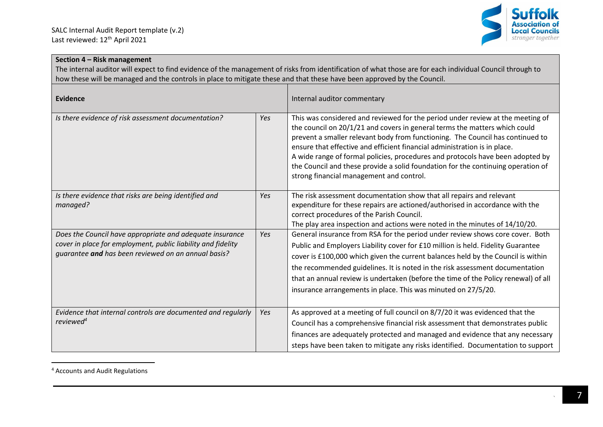

# **Section 4 – Risk management**

The internal auditor will expect to find evidence of the management of risks from identification of what those are for each individual Council through to how these will be managed and the controls in place to mitigate these and that these have been approved by the Council.

| Evidence                                                                                                                                                                        |     | Internal auditor commentary                                                                                                                                                                                                                                                                                                                                                                                                                                                                                                                   |
|---------------------------------------------------------------------------------------------------------------------------------------------------------------------------------|-----|-----------------------------------------------------------------------------------------------------------------------------------------------------------------------------------------------------------------------------------------------------------------------------------------------------------------------------------------------------------------------------------------------------------------------------------------------------------------------------------------------------------------------------------------------|
| Is there evidence of risk assessment documentation?                                                                                                                             | Yes | This was considered and reviewed for the period under review at the meeting of<br>the council on 20/1/21 and covers in general terms the matters which could<br>prevent a smaller relevant body from functioning. The Council has continued to<br>ensure that effective and efficient financial administration is in place.<br>A wide range of formal policies, procedures and protocols have been adopted by<br>the Council and these provide a solid foundation for the continuing operation of<br>strong financial management and control. |
| Is there evidence that risks are being identified and<br>managed?                                                                                                               | Yes | The risk assessment documentation show that all repairs and relevant<br>expenditure for these repairs are actioned/authorised in accordance with the<br>correct procedures of the Parish Council.<br>The play area inspection and actions were noted in the minutes of 14/10/20.                                                                                                                                                                                                                                                              |
| Does the Council have appropriate and adequate insurance<br>cover in place for employment, public liability and fidelity<br>guarantee and has been reviewed on an annual basis? | Yes | General insurance from RSA for the period under review shows core cover. Both<br>Public and Employers Liability cover for £10 million is held. Fidelity Guarantee<br>cover is £100,000 which given the current balances held by the Council is within<br>the recommended guidelines. It is noted in the risk assessment documentation<br>that an annual review is undertaken (before the time of the Policy renewal) of all<br>insurance arrangements in place. This was minuted on 27/5/20.                                                  |
| Evidence that internal controls are documented and regularly<br>reviewed <sup>4</sup>                                                                                           | Yes | As approved at a meeting of full council on 8/7/20 it was evidenced that the<br>Council has a comprehensive financial risk assessment that demonstrates public<br>finances are adequately protected and managed and evidence that any necessary<br>steps have been taken to mitigate any risks identified. Documentation to support                                                                                                                                                                                                           |

<sup>4</sup> Accounts and Audit Regulations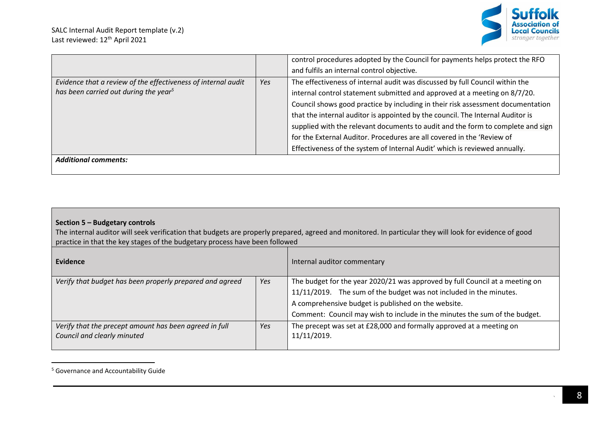

|                                                                                                                    |     | control procedures adopted by the Council for payments helps protect the RFO<br>and fulfils an internal control objective.                                                                                                                                                                                                                                                                                                                                                                                                                                                |
|--------------------------------------------------------------------------------------------------------------------|-----|---------------------------------------------------------------------------------------------------------------------------------------------------------------------------------------------------------------------------------------------------------------------------------------------------------------------------------------------------------------------------------------------------------------------------------------------------------------------------------------------------------------------------------------------------------------------------|
| Evidence that a review of the effectiveness of internal audit<br>has been carried out during the year <sup>5</sup> | Yes | The effectiveness of internal audit was discussed by full Council within the<br>internal control statement submitted and approved at a meeting on 8/7/20.<br>Council shows good practice by including in their risk assessment documentation<br>that the internal auditor is appointed by the council. The Internal Auditor is<br>supplied with the relevant documents to audit and the form to complete and sign<br>for the External Auditor. Procedures are all covered in the 'Review of<br>Effectiveness of the system of Internal Audit' which is reviewed annually. |
| <b>Additional comments:</b>                                                                                        |     |                                                                                                                                                                                                                                                                                                                                                                                                                                                                                                                                                                           |

# **Section 5 – Budgetary controls**

The internal auditor will seek verification that budgets are properly prepared, agreed and monitored. In particular they will look for evidence of good practice in that the key stages of the budgetary process have been followed

| Evidence                                                 |     | Internal auditor commentary                                                  |
|----------------------------------------------------------|-----|------------------------------------------------------------------------------|
| Verify that budget has been properly prepared and agreed | Yes | The budget for the year 2020/21 was approved by full Council at a meeting on |
|                                                          |     | 11/11/2019. The sum of the budget was not included in the minutes.           |
|                                                          |     | A comprehensive budget is published on the website.                          |
|                                                          |     | Comment: Council may wish to include in the minutes the sum of the budget.   |
| Verify that the precept amount has been agreed in full   | Yes | The precept was set at £28,000 and formally approved at a meeting on         |
| Council and clearly minuted                              |     | 11/11/2019.                                                                  |
|                                                          |     |                                                                              |

<sup>5</sup> Governance and Accountability Guide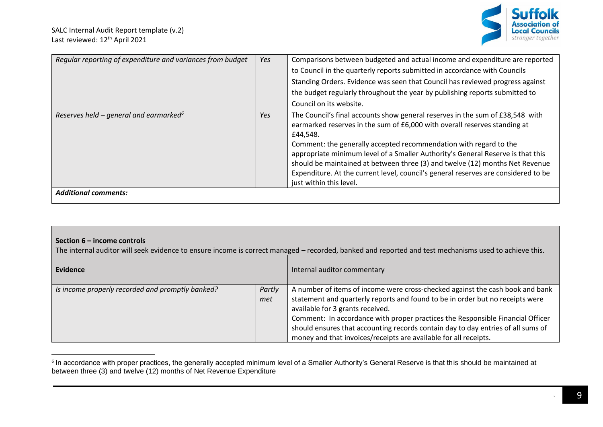

| Regular reporting of expenditure and variances from budget | Yes | Comparisons between budgeted and actual income and expenditure are reported                                                                                                                                                                                                                                                                                                                                                                                                                                                     |
|------------------------------------------------------------|-----|---------------------------------------------------------------------------------------------------------------------------------------------------------------------------------------------------------------------------------------------------------------------------------------------------------------------------------------------------------------------------------------------------------------------------------------------------------------------------------------------------------------------------------|
|                                                            |     | to Council in the quarterly reports submitted in accordance with Councils                                                                                                                                                                                                                                                                                                                                                                                                                                                       |
|                                                            |     | Standing Orders. Evidence was seen that Council has reviewed progress against                                                                                                                                                                                                                                                                                                                                                                                                                                                   |
|                                                            |     | the budget regularly throughout the year by publishing reports submitted to                                                                                                                                                                                                                                                                                                                                                                                                                                                     |
|                                                            |     | Council on its website.                                                                                                                                                                                                                                                                                                                                                                                                                                                                                                         |
| Reserves held – general and earmarked <sup>6</sup>         | Yes | The Council's final accounts show general reserves in the sum of £38,548 with<br>earmarked reserves in the sum of £6,000 with overall reserves standing at<br>£44,548.<br>Comment: the generally accepted recommendation with regard to the<br>appropriate minimum level of a Smaller Authority's General Reserve is that this<br>should be maintained at between three (3) and twelve (12) months Net Revenue<br>Expenditure. At the current level, council's general reserves are considered to be<br>just within this level. |
| <b>Additional comments:</b>                                |     |                                                                                                                                                                                                                                                                                                                                                                                                                                                                                                                                 |

The internal auditor will seek evidence to ensure income is correct managed – recorded, banked and reported and test mechanisms used to achieve this.

| Evidence                                         |               | Internal auditor commentary                                                                                                                                                                                                                                                                                                                                                                                                                  |
|--------------------------------------------------|---------------|----------------------------------------------------------------------------------------------------------------------------------------------------------------------------------------------------------------------------------------------------------------------------------------------------------------------------------------------------------------------------------------------------------------------------------------------|
| Is income properly recorded and promptly banked? | Partly<br>met | A number of items of income were cross-checked against the cash book and bank<br>statement and quarterly reports and found to be in order but no receipts were<br>available for 3 grants received.<br>Comment: In accordance with proper practices the Responsible Financial Officer<br>should ensures that accounting records contain day to day entries of all sums of<br>money and that invoices/receipts are available for all receipts. |

 $^{\rm 6}$  In accordance with proper practices, the generally accepted minimum level of a Smaller Authority's General Reserve is that this should be maintained at between three (3) and twelve (12) months of Net Revenue Expenditure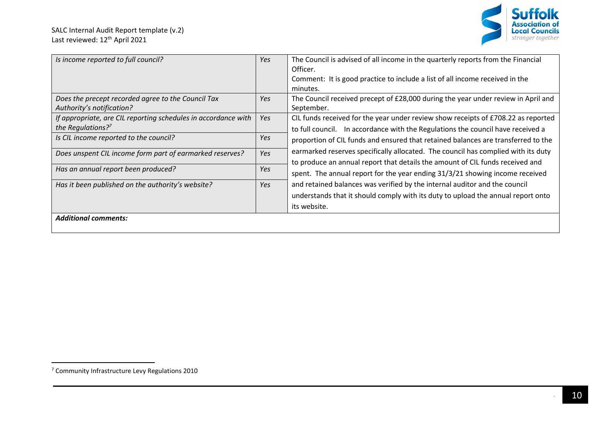

| Is income reported to full council?                            | Yes                                                                                      | The Council is advised of all income in the quarterly reports from the Financial  |  |
|----------------------------------------------------------------|------------------------------------------------------------------------------------------|-----------------------------------------------------------------------------------|--|
|                                                                |                                                                                          | Officer.                                                                          |  |
|                                                                |                                                                                          | Comment: It is good practice to include a list of all income received in the      |  |
|                                                                |                                                                                          | minutes.                                                                          |  |
| Does the precept recorded agree to the Council Tax             | Yes                                                                                      | The Council received precept of £28,000 during the year under review in April and |  |
| Authority's notification?                                      |                                                                                          | September.                                                                        |  |
| If appropriate, are CIL reporting schedules in accordance with | Yes                                                                                      | CIL funds received for the year under review show receipts of £708.22 as reported |  |
| the Regulations? <sup>7</sup>                                  |                                                                                          | to full council. In accordance with the Regulations the council have received a   |  |
| Is CIL income reported to the council?                         | Yes                                                                                      | proportion of CIL funds and ensured that retained balances are transferred to the |  |
| Does unspent CIL income form part of earmarked reserves?       | earmarked reserves specifically allocated. The council has complied with its duty<br>Yes |                                                                                   |  |
|                                                                |                                                                                          | to produce an annual report that details the amount of CIL funds received and     |  |
| Has an annual report been produced?                            |                                                                                          | spent. The annual report for the year ending 31/3/21 showing income received      |  |
|                                                                |                                                                                          |                                                                                   |  |
| Has it been published on the authority's website?              | Yes                                                                                      | and retained balances was verified by the internal auditor and the council        |  |
|                                                                |                                                                                          | understands that it should comply with its duty to upload the annual report onto  |  |
|                                                                |                                                                                          | its website.                                                                      |  |
| <b>Additional comments:</b>                                    |                                                                                          |                                                                                   |  |
|                                                                |                                                                                          |                                                                                   |  |

<sup>7</sup> Community Infrastructure Levy Regulations 2010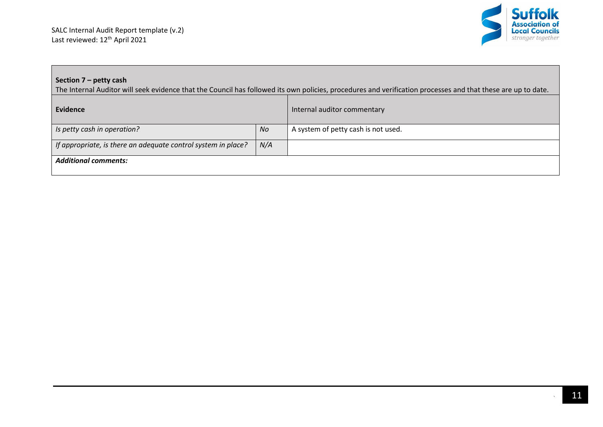

# **Section 7 – petty cash**

The Internal Auditor will seek evidence that the Council has followed its own policies, procedures and verification processes and that these are up to date.

| <b>Evidence</b>                                               |           | Internal auditor commentary         |
|---------------------------------------------------------------|-----------|-------------------------------------|
| Is petty cash in operation?                                   | <b>No</b> | A system of petty cash is not used. |
| If appropriate, is there an adequate control system in place? | N/A       |                                     |
| <b>Additional comments:</b>                                   |           |                                     |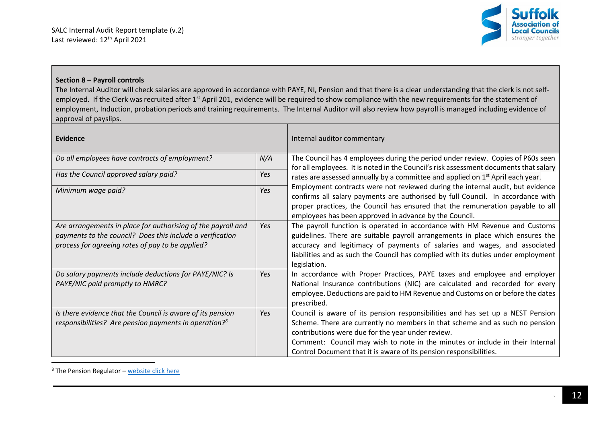

## **Section 8 – Payroll controls**

The Internal Auditor will check salaries are approved in accordance with PAYE, NI, Pension and that there is a clear understanding that the clerk is not selfemployed. If the Clerk was recruited after 1<sup>st</sup> April 201, evidence will be required to show compliance with the new requirements for the statement of employment, Induction, probation periods and training requirements. The Internal Auditor will also review how payroll is managed including evidence of approval of payslips.

| Evidence                                                                                                                                                                      |            | Internal auditor commentary                                                                                                                                                                                                                                                                                                                                                |
|-------------------------------------------------------------------------------------------------------------------------------------------------------------------------------|------------|----------------------------------------------------------------------------------------------------------------------------------------------------------------------------------------------------------------------------------------------------------------------------------------------------------------------------------------------------------------------------|
| Do all employees have contracts of employment?                                                                                                                                | N/A        | The Council has 4 employees during the period under review. Copies of P60s seen<br>for all employees. It is noted in the Council's risk assessment documents that salary                                                                                                                                                                                                   |
| Has the Council approved salary paid?                                                                                                                                         | Yes        | rates are assessed annually by a committee and applied on 1 <sup>st</sup> April each year.                                                                                                                                                                                                                                                                                 |
| Minimum wage paid?                                                                                                                                                            | <b>Yes</b> | Employment contracts were not reviewed during the internal audit, but evidence<br>confirms all salary payments are authorised by full Council. In accordance with<br>proper practices, the Council has ensured that the remuneration payable to all<br>employees has been approved in advance by the Council.                                                              |
| Are arrangements in place for authorising of the payroll and<br>payments to the council? Does this include a verification<br>process for agreeing rates of pay to be applied? | Yes        | The payroll function is operated in accordance with HM Revenue and Customs<br>guidelines. There are suitable payroll arrangements in place which ensures the<br>accuracy and legitimacy of payments of salaries and wages, and associated<br>liabilities and as such the Council has complied with its duties under employment<br>legislation.                             |
| Do salary payments include deductions for PAYE/NIC? Is<br>PAYE/NIC paid promptly to HMRC?                                                                                     | Yes        | In accordance with Proper Practices, PAYE taxes and employee and employer<br>National Insurance contributions (NIC) are calculated and recorded for every<br>employee. Deductions are paid to HM Revenue and Customs on or before the dates<br>prescribed.                                                                                                                 |
| Is there evidence that the Council is aware of its pension<br>responsibilities? Are pension payments in operation? <sup>8</sup>                                               | <b>Yes</b> | Council is aware of its pension responsibilities and has set up a NEST Pension<br>Scheme. There are currently no members in that scheme and as such no pension<br>contributions were due for the year under review.<br>Comment: Council may wish to note in the minutes or include in their Internal<br>Control Document that it is aware of its pension responsibilities. |

 $8$  The Pension Regulator – [website click here](https://www.thepensionsregulator.gov.uk/en/employers)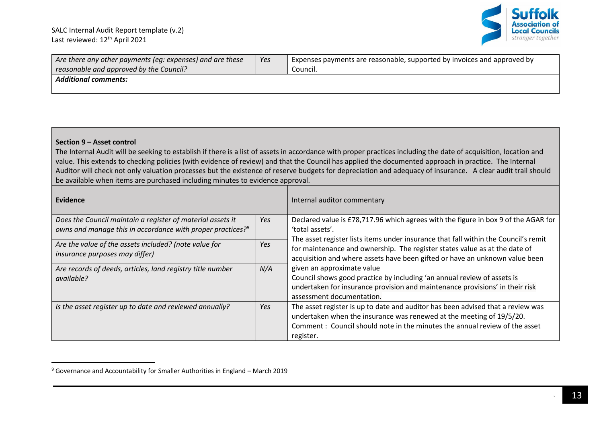

| Are there any other payments (eq: expenses) and are these | Yes | Expenses payments are reasonable, supported by invoices and approved by |
|-----------------------------------------------------------|-----|-------------------------------------------------------------------------|
| reasonable and approved by the Council?                   |     | Council.                                                                |
| <b>Additional comments:</b>                               |     |                                                                         |
|                                                           |     |                                                                         |

#### **Section 9 – Asset control**

The Internal Audit will be seeking to establish if there is a list of assets in accordance with proper practices including the date of acquisition, location and value. This extends to checking policies (with evidence of review) and that the Council has applied the documented approach in practice. The Internal Auditor will check not only valuation processes but the existence of reserve budgets for depreciation and adequacy of insurance. A clear audit trail should be available when items are purchased including minutes to evidence approval.

| Evidence                                                                                                                      |     | Internal auditor commentary                                                                                                                                                                                                                        |
|-------------------------------------------------------------------------------------------------------------------------------|-----|----------------------------------------------------------------------------------------------------------------------------------------------------------------------------------------------------------------------------------------------------|
| Does the Council maintain a register of material assets it<br>owns and manage this in accordance with proper practices? $9^9$ | Yes | Declared value is £78,717.96 which agrees with the figure in box 9 of the AGAR for<br>'total assets'.                                                                                                                                              |
| Are the value of the assets included? (note value for<br><i>insurance purposes may differ)</i>                                | Yes | The asset register lists items under insurance that fall within the Council's remit<br>for maintenance and ownership. The register states value as at the date of<br>acquisition and where assets have been gifted or have an unknown value been   |
| Are records of deeds, articles, land registry title number<br>available?                                                      | N/A | given an approximate value<br>Council shows good practice by including 'an annual review of assets is<br>undertaken for insurance provision and maintenance provisions' in their risk<br>assessment documentation.                                 |
| Is the asset register up to date and reviewed annually?                                                                       | Yes | The asset register is up to date and auditor has been advised that a review was<br>undertaken when the insurance was renewed at the meeting of 19/5/20.<br>Comment: Council should note in the minutes the annual review of the asset<br>register. |

<sup>9</sup> Governance and Accountability for Smaller Authorities in England – March 2019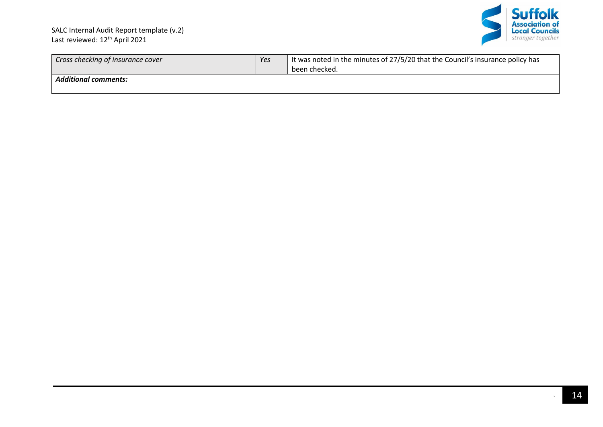

| Cross checking of insurance cover | Yes | It was noted in the minutes of 27/5/20 that the Council's insurance policy has<br>been checked. |
|-----------------------------------|-----|-------------------------------------------------------------------------------------------------|
| <b>Additional comments:</b>       |     |                                                                                                 |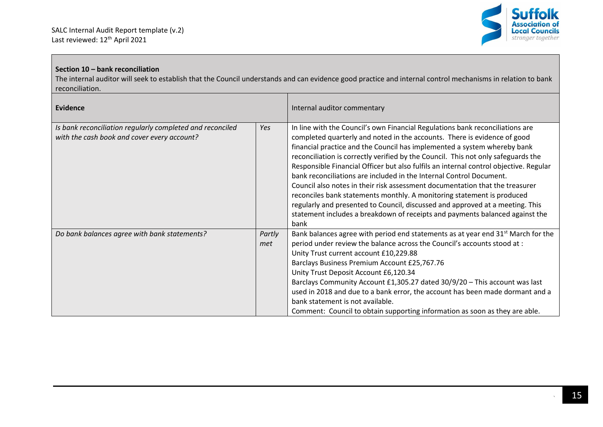

## **Section 10 – bank reconciliation**

The internal auditor will seek to establish that the Council understands and can evidence good practice and internal control mechanisms in relation to bank reconciliation.

| <b>Evidence</b>                                                                                          |               | Internal auditor commentary                                                                                                                                                                                                                                                                                                                                                                                                                                                                                                                                                                                                                                                                                                                                                                                                   |
|----------------------------------------------------------------------------------------------------------|---------------|-------------------------------------------------------------------------------------------------------------------------------------------------------------------------------------------------------------------------------------------------------------------------------------------------------------------------------------------------------------------------------------------------------------------------------------------------------------------------------------------------------------------------------------------------------------------------------------------------------------------------------------------------------------------------------------------------------------------------------------------------------------------------------------------------------------------------------|
| Is bank reconciliation regularly completed and reconciled<br>with the cash book and cover every account? | Yes           | In line with the Council's own Financial Regulations bank reconciliations are<br>completed quarterly and noted in the accounts. There is evidence of good<br>financial practice and the Council has implemented a system whereby bank<br>reconciliation is correctly verified by the Council. This not only safeguards the<br>Responsible Financial Officer but also fulfils an internal control objective. Regular<br>bank reconciliations are included in the Internal Control Document.<br>Council also notes in their risk assessment documentation that the treasurer<br>reconciles bank statements monthly. A monitoring statement is produced<br>regularly and presented to Council, discussed and approved at a meeting. This<br>statement includes a breakdown of receipts and payments balanced against the<br>bank |
| Do bank balances agree with bank statements?                                                             | Partly<br>met | Bank balances agree with period end statements as at year end $31^{st}$ March for the<br>period under review the balance across the Council's accounts stood at :<br>Unity Trust current account £10,229.88<br>Barclays Business Premium Account £25,767.76<br>Unity Trust Deposit Account £6,120.34<br>Barclays Community Account £1,305.27 dated 30/9/20 - This account was last<br>used in 2018 and due to a bank error, the account has been made dormant and a<br>bank statement is not available.<br>Comment: Council to obtain supporting information as soon as they are able.                                                                                                                                                                                                                                        |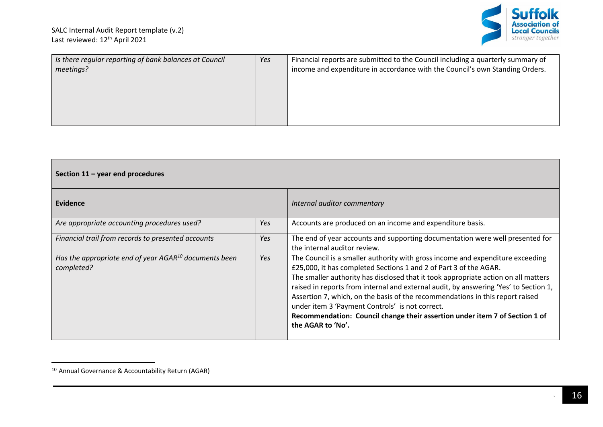

| Is there regular reporting of bank balances at Council<br>meetings? | Yes | Financial reports are submitted to the Council including a quarterly summary of<br>income and expenditure in accordance with the Council's own Standing Orders. |
|---------------------------------------------------------------------|-----|-----------------------------------------------------------------------------------------------------------------------------------------------------------------|
|                                                                     |     |                                                                                                                                                                 |

| Section $11 -$ year end procedures                                       |     |                                                                                                                                                                                                                                                                                                                                                                                                                                                                                                                                                                           |
|--------------------------------------------------------------------------|-----|---------------------------------------------------------------------------------------------------------------------------------------------------------------------------------------------------------------------------------------------------------------------------------------------------------------------------------------------------------------------------------------------------------------------------------------------------------------------------------------------------------------------------------------------------------------------------|
| Evidence                                                                 |     | Internal auditor commentary                                                                                                                                                                                                                                                                                                                                                                                                                                                                                                                                               |
| Are appropriate accounting procedures used?                              | Yes | Accounts are produced on an income and expenditure basis.                                                                                                                                                                                                                                                                                                                                                                                                                                                                                                                 |
| Financial trail from records to presented accounts                       | Yes | The end of year accounts and supporting documentation were well presented for<br>the internal auditor review.                                                                                                                                                                                                                                                                                                                                                                                                                                                             |
| Has the appropriate end of year $AGAR^{10}$ documents been<br>completed? | Yes | The Council is a smaller authority with gross income and expenditure exceeding<br>£25,000, it has completed Sections 1 and 2 of Part 3 of the AGAR.<br>The smaller authority has disclosed that it took appropriate action on all matters<br>raised in reports from internal and external audit, by answering 'Yes' to Section 1,<br>Assertion 7, which, on the basis of the recommendations in this report raised<br>under item 3 'Payment Controls' is not correct.<br>Recommendation: Council change their assertion under item 7 of Section 1 of<br>the AGAR to 'No'. |

<sup>10</sup> Annual Governance & Accountability Return (AGAR)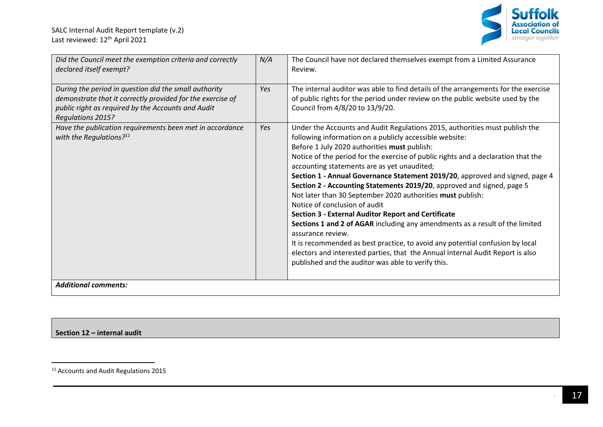

| Did the Council meet the exemption criteria and correctly<br>declared itself exempt?                                                                                                                  | N/A | The Council have not declared themselves exempt from a Limited Assurance<br>Review.                                                                                                                                                                                                                                                                                                                                                                                                                                                                                                                                                                                                                                                                                                                                                                                                                                                                                             |
|-------------------------------------------------------------------------------------------------------------------------------------------------------------------------------------------------------|-----|---------------------------------------------------------------------------------------------------------------------------------------------------------------------------------------------------------------------------------------------------------------------------------------------------------------------------------------------------------------------------------------------------------------------------------------------------------------------------------------------------------------------------------------------------------------------------------------------------------------------------------------------------------------------------------------------------------------------------------------------------------------------------------------------------------------------------------------------------------------------------------------------------------------------------------------------------------------------------------|
| During the period in question did the small authority<br>demonstrate that it correctly provided for the exercise of<br>public right as required by the Accounts and Audit<br><b>Regulations 2015?</b> | Yes | The internal auditor was able to find details of the arrangements for the exercise<br>of public rights for the period under review on the public website used by the<br>Council from 4/8/20 to 13/9/20.                                                                                                                                                                                                                                                                                                                                                                                                                                                                                                                                                                                                                                                                                                                                                                         |
| Have the publication requirements been met in accordance<br>with the Regulations? $11$                                                                                                                | Yes | Under the Accounts and Audit Regulations 2015, authorities must publish the<br>following information on a publicly accessible website:<br>Before 1 July 2020 authorities must publish:<br>Notice of the period for the exercise of public rights and a declaration that the<br>accounting statements are as yet unaudited;<br>Section 1 - Annual Governance Statement 2019/20, approved and signed, page 4<br>Section 2 - Accounting Statements 2019/20, approved and signed, page 5<br>Not later than 30 September 2020 authorities must publish:<br>Notice of conclusion of audit<br><b>Section 3 - External Auditor Report and Certificate</b><br>Sections 1 and 2 of AGAR including any amendments as a result of the limited<br>assurance review.<br>It is recommended as best practice, to avoid any potential confusion by local<br>electors and interested parties, that the Annual Internal Audit Report is also<br>published and the auditor was able to verify this. |
| <b>Additional comments:</b>                                                                                                                                                                           |     |                                                                                                                                                                                                                                                                                                                                                                                                                                                                                                                                                                                                                                                                                                                                                                                                                                                                                                                                                                                 |

**Section 12 – internal audit**

<sup>11</sup> Accounts and Audit Regulations 2015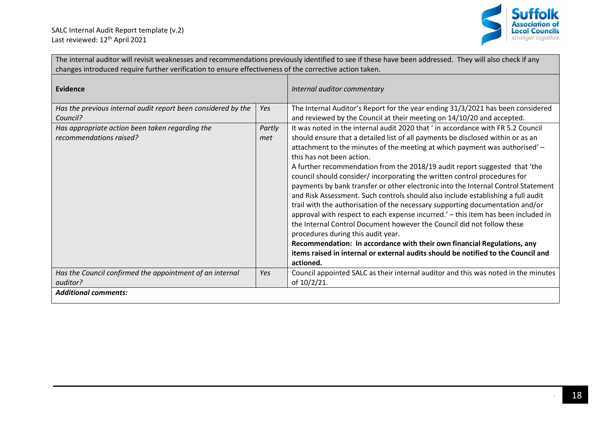

| The internal auditor will revisit weaknesses and recommendations previously identified to see if these have been addressed. They will also check if any<br>changes introduced require further verification to ensure effectiveness of the corrective action taken. |               |                                                                                                                                                                                                                                                                                                                                                                                                                                                                                                                                                                                                                                                                                                                                                                                                                                                                                                                                                                                                                                                                                       |
|--------------------------------------------------------------------------------------------------------------------------------------------------------------------------------------------------------------------------------------------------------------------|---------------|---------------------------------------------------------------------------------------------------------------------------------------------------------------------------------------------------------------------------------------------------------------------------------------------------------------------------------------------------------------------------------------------------------------------------------------------------------------------------------------------------------------------------------------------------------------------------------------------------------------------------------------------------------------------------------------------------------------------------------------------------------------------------------------------------------------------------------------------------------------------------------------------------------------------------------------------------------------------------------------------------------------------------------------------------------------------------------------|
| <b>Evidence</b>                                                                                                                                                                                                                                                    |               | Internal auditor commentary                                                                                                                                                                                                                                                                                                                                                                                                                                                                                                                                                                                                                                                                                                                                                                                                                                                                                                                                                                                                                                                           |
| Has the previous internal audit report been considered by the<br>Council?                                                                                                                                                                                          | Yes           | The Internal Auditor's Report for the year ending 31/3/2021 has been considered<br>and reviewed by the Council at their meeting on 14/10/20 and accepted.                                                                                                                                                                                                                                                                                                                                                                                                                                                                                                                                                                                                                                                                                                                                                                                                                                                                                                                             |
| Has appropriate action been taken regarding the<br>recommendations raised?                                                                                                                                                                                         | Partly<br>met | It was noted in the internal audit 2020 that ' in accordance with FR 5.2 Council<br>should ensure that a detailed list of all payments be disclosed within or as an<br>attachment to the minutes of the meeting at which payment was authorised' -<br>this has not been action.<br>A further recommendation from the 2018/19 audit report suggested that 'the<br>council should consider/incorporating the written control procedures for<br>payments by bank transfer or other electronic into the Internal Control Statement<br>and Risk Assessment. Such controls should also include establishing a full audit<br>trail with the authorisation of the necessary supporting documentation and/or<br>approval with respect to each expense incurred.' - this item has been included in<br>the Internal Control Document however the Council did not follow these<br>procedures during this audit year.<br>Recommendation: In accordance with their own financial Regulations, any<br>items raised in internal or external audits should be notified to the Council and<br>actioned. |
| Has the Council confirmed the appointment of an internal<br>auditor?                                                                                                                                                                                               | Yes           | Council appointed SALC as their internal auditor and this was noted in the minutes<br>of 10/2/21.                                                                                                                                                                                                                                                                                                                                                                                                                                                                                                                                                                                                                                                                                                                                                                                                                                                                                                                                                                                     |
| <b>Additional comments:</b>                                                                                                                                                                                                                                        |               |                                                                                                                                                                                                                                                                                                                                                                                                                                                                                                                                                                                                                                                                                                                                                                                                                                                                                                                                                                                                                                                                                       |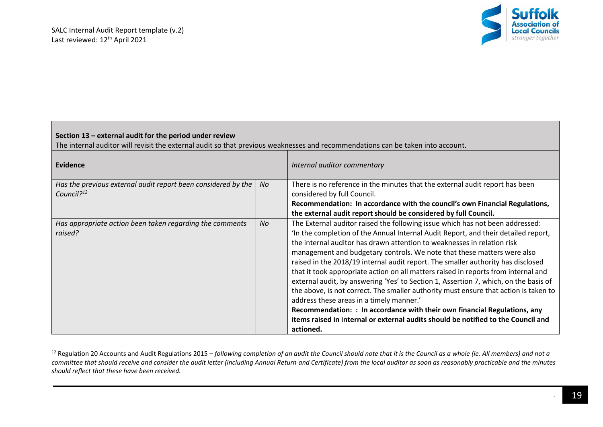

| Section 13 - external audit for the period under review<br>The internal auditor will revisit the external audit so that previous weaknesses and recommendations can be taken into account. |     |                                                                                                                                                                                                                                                                                                                                                                                                                                                                                                                                                                                                                                                                                                                                                                                                                                                                                                                |  |
|--------------------------------------------------------------------------------------------------------------------------------------------------------------------------------------------|-----|----------------------------------------------------------------------------------------------------------------------------------------------------------------------------------------------------------------------------------------------------------------------------------------------------------------------------------------------------------------------------------------------------------------------------------------------------------------------------------------------------------------------------------------------------------------------------------------------------------------------------------------------------------------------------------------------------------------------------------------------------------------------------------------------------------------------------------------------------------------------------------------------------------------|--|
| <b>Evidence</b>                                                                                                                                                                            |     | Internal auditor commentary                                                                                                                                                                                                                                                                                                                                                                                                                                                                                                                                                                                                                                                                                                                                                                                                                                                                                    |  |
| Has the previous external audit report been considered by the<br>Council? <sup>12</sup>                                                                                                    | No. | There is no reference in the minutes that the external audit report has been<br>considered by full Council.<br>Recommendation: In accordance with the council's own Financial Regulations,<br>the external audit report should be considered by full Council.                                                                                                                                                                                                                                                                                                                                                                                                                                                                                                                                                                                                                                                  |  |
| Has appropriate action been taken regarding the comments<br>raised?                                                                                                                        | No. | The External auditor raised the following issue which has not been addressed:<br>'In the completion of the Annual Internal Audit Report, and their detailed report,<br>the internal auditor has drawn attention to weaknesses in relation risk<br>management and budgetary controls. We note that these matters were also<br>raised in the 2018/19 internal audit report. The smaller authority has disclosed<br>that it took appropriate action on all matters raised in reports from internal and<br>external audit, by answering 'Yes' to Section 1, Assertion 7, which, on the basis of<br>the above, is not correct. The smaller authority must ensure that action is taken to<br>address these areas in a timely manner.'<br>Recommendation: : In accordance with their own financial Regulations, any<br>items raised in internal or external audits should be notified to the Council and<br>actioned. |  |

<sup>&</sup>lt;sup>12</sup> Regulation 20 Accounts and Audit Regulations 2015 – *following completion of an audit the Council should note that it is the Council as a whole (ie. All members) and not a committee that should receive and consider the audit letter (including Annual Return and Certificate) from the local auditor as soon as reasonably practicable and the minutes should reflect that these have been received.*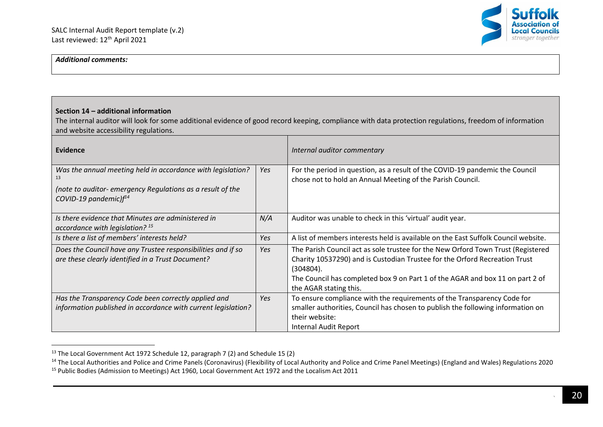

## *Additional comments:*

## **Section 14 – additional information**

The internal auditor will look for some additional evidence of good record keeping, compliance with data protection regulations, freedom of information and website accessibility regulations.

| Evidence                                                                                                                                                |     | Internal auditor commentary                                                                                                                                                                                                                                                            |
|---------------------------------------------------------------------------------------------------------------------------------------------------------|-----|----------------------------------------------------------------------------------------------------------------------------------------------------------------------------------------------------------------------------------------------------------------------------------------|
| Was the annual meeting held in accordance with legislation?<br>(note to auditor-emergency Regulations as a result of the<br>COVID-19 pandemic) $f^{14}$ | Yes | For the period in question, as a result of the COVID-19 pandemic the Council<br>chose not to hold an Annual Meeting of the Parish Council.                                                                                                                                             |
| Is there evidence that Minutes are administered in<br>accordance with legislation? $^{15}$                                                              | N/A | Auditor was unable to check in this 'virtual' audit year.                                                                                                                                                                                                                              |
| Is there a list of members' interests held?                                                                                                             | Yes | A list of members interests held is available on the East Suffolk Council website.                                                                                                                                                                                                     |
| Does the Council have any Trustee responsibilities and if so<br>are these clearly identified in a Trust Document?                                       | Yes | The Parish Council act as sole trustee for the New Orford Town Trust (Registered<br>Charity 10537290) and is Custodian Trustee for the Orford Recreation Trust<br>(304804).<br>The Council has completed box 9 on Part 1 of the AGAR and box 11 on part 2 of<br>the AGAR stating this. |
| Has the Transparency Code been correctly applied and<br>information published in accordance with current legislation?                                   | Yes | To ensure compliance with the requirements of the Transparency Code for<br>smaller authorities, Council has chosen to publish the following information on<br>their website:<br>Internal Audit Report                                                                                  |

<sup>&</sup>lt;sup>13</sup> The Local Government Act 1972 Schedule 12, paragraph 7 (2) and Schedule 15 (2)

<sup>&</sup>lt;sup>14</sup> The Local Authorities and Police and Crime Panels (Coronavirus) (Flexibility of Local Authority and Police and Crime Panel Meetings) (England and Wales) Regulations 2020 <sup>15</sup> Public Bodies (Admission to Meetings) Act 1960, Local Government Act 1972 and the Localism Act 2011